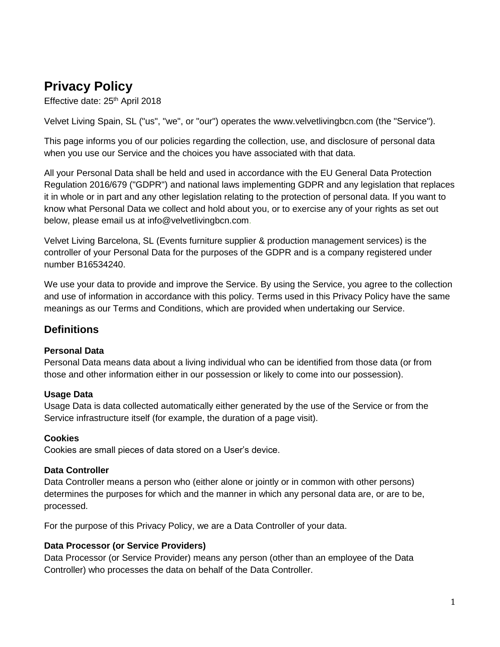# **Privacy Policy**

Effective date: 25<sup>th</sup> April 2018

Velvet Living Spain, SL ("us", "we", or "our") operates the www.velvetlivingbcn.com (the "Service").

This page informs you of our policies regarding the collection, use, and disclosure of personal data when you use our Service and the choices you have associated with that data.

All your Personal Data shall be held and used in accordance with the EU General Data Protection Regulation 2016/679 ("GDPR") and national laws implementing GDPR and any legislation that replaces it in whole or in part and any other legislation relating to the protection of personal data. If you want to know what Personal Data we collect and hold about you, or to exercise any of your rights as set out below, please email us at info@velvetlivingbcn.com.

Velvet Living Barcelona, SL (Events furniture supplier & production management services) is the controller of your Personal Data for the purposes of the GDPR and is a company registered under number B16534240.

We use your data to provide and improve the Service. By using the Service, you agree to the collection and use of information in accordance with this policy. Terms used in this Privacy Policy have the same meanings as our Terms and Conditions, which are provided when undertaking our Service.

# **Definitions**

# **Personal Data**

Personal Data means data about a living individual who can be identified from those data (or from those and other information either in our possession or likely to come into our possession).

# **Usage Data**

Usage Data is data collected automatically either generated by the use of the Service or from the Service infrastructure itself (for example, the duration of a page visit).

# **Cookies**

Cookies are small pieces of data stored on a User's device.

# **Data Controller**

Data Controller means a person who (either alone or jointly or in common with other persons) determines the purposes for which and the manner in which any personal data are, or are to be, processed.

For the purpose of this Privacy Policy, we are a Data Controller of your data.

# **Data Processor (or Service Providers)**

Data Processor (or Service Provider) means any person (other than an employee of the Data Controller) who processes the data on behalf of the Data Controller.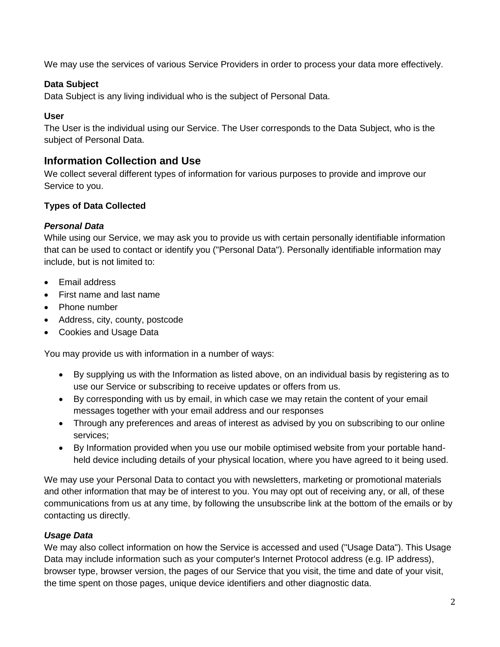We may use the services of various Service Providers in order to process your data more effectively.

# **Data Subject**

Data Subject is any living individual who is the subject of Personal Data.

### **User**

The User is the individual using our Service. The User corresponds to the Data Subject, who is the subject of Personal Data.

# **Information Collection and Use**

We collect several different types of information for various purposes to provide and improve our Service to you.

# **Types of Data Collected**

### *Personal Data*

While using our Service, we may ask you to provide us with certain personally identifiable information that can be used to contact or identify you ("Personal Data"). Personally identifiable information may include, but is not limited to:

- Email address
- First name and last name
- Phone number
- Address, city, county, postcode
- Cookies and Usage Data

You may provide us with information in a number of ways:

- By supplying us with the Information as listed above, on an individual basis by registering as to use our Service or subscribing to receive updates or offers from us.
- By corresponding with us by email, in which case we may retain the content of your email messages together with your email address and our responses
- Through any preferences and areas of interest as advised by you on subscribing to our online services;
- By Information provided when you use our mobile optimised website from your portable handheld device including details of your physical location, where you have agreed to it being used.

We may use your Personal Data to contact you with newsletters, marketing or promotional materials and other information that may be of interest to you. You may opt out of receiving any, or all, of these communications from us at any time, by following the unsubscribe link at the bottom of the emails or by contacting us directly.

# *Usage Data*

We may also collect information on how the Service is accessed and used ("Usage Data"). This Usage Data may include information such as your computer's Internet Protocol address (e.g. IP address), browser type, browser version, the pages of our Service that you visit, the time and date of your visit, the time spent on those pages, unique device identifiers and other diagnostic data.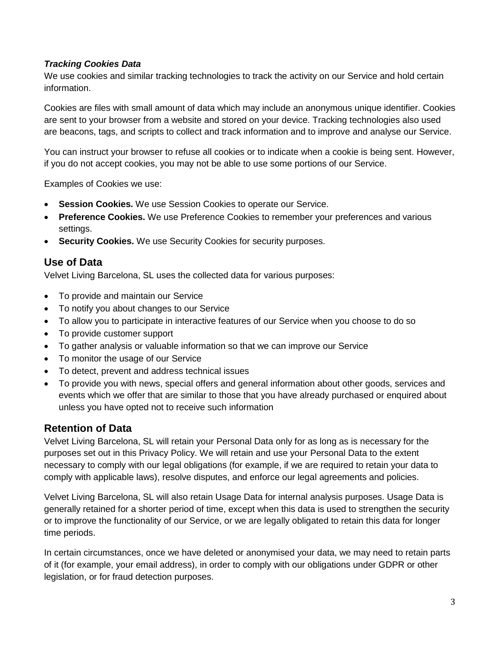#### *Tracking Cookies Data*

We use cookies and similar tracking technologies to track the activity on our Service and hold certain information.

Cookies are files with small amount of data which may include an anonymous unique identifier. Cookies are sent to your browser from a website and stored on your device. Tracking technologies also used are beacons, tags, and scripts to collect and track information and to improve and analyse our Service.

You can instruct your browser to refuse all cookies or to indicate when a cookie is being sent. However, if you do not accept cookies, you may not be able to use some portions of our Service.

Examples of Cookies we use:

- **Session Cookies.** We use Session Cookies to operate our Service.
- **Preference Cookies.** We use Preference Cookies to remember your preferences and various settings.
- **Security Cookies.** We use Security Cookies for security purposes.

# **Use of Data**

Velvet Living Barcelona, SL uses the collected data for various purposes:

- To provide and maintain our Service
- To notify you about changes to our Service
- To allow you to participate in interactive features of our Service when you choose to do so
- To provide customer support
- To gather analysis or valuable information so that we can improve our Service
- To monitor the usage of our Service
- To detect, prevent and address technical issues
- To provide you with news, special offers and general information about other goods, services and events which we offer that are similar to those that you have already purchased or enquired about unless you have opted not to receive such information

# **Retention of Data**

Velvet Living Barcelona, SL will retain your Personal Data only for as long as is necessary for the purposes set out in this Privacy Policy. We will retain and use your Personal Data to the extent necessary to comply with our legal obligations (for example, if we are required to retain your data to comply with applicable laws), resolve disputes, and enforce our legal agreements and policies.

Velvet Living Barcelona, SL will also retain Usage Data for internal analysis purposes. Usage Data is generally retained for a shorter period of time, except when this data is used to strengthen the security or to improve the functionality of our Service, or we are legally obligated to retain this data for longer time periods.

In certain circumstances, once we have deleted or anonymised your data, we may need to retain parts of it (for example, your email address), in order to comply with our obligations under GDPR or other legislation, or for fraud detection purposes.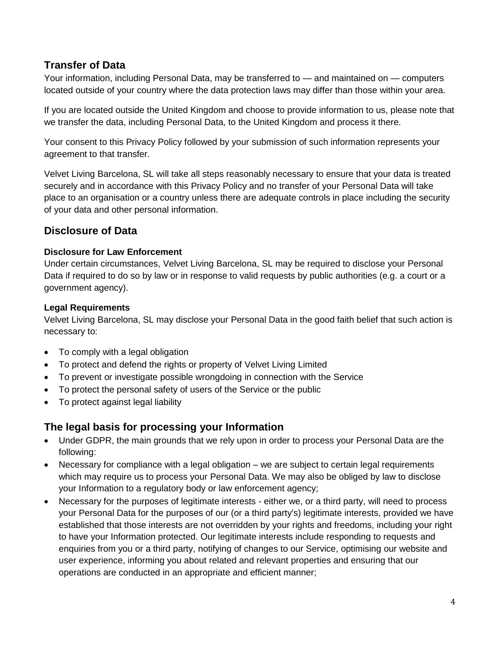# **Transfer of Data**

Your information, including Personal Data, may be transferred to — and maintained on — computers located outside of your country where the data protection laws may differ than those within your area.

If you are located outside the United Kingdom and choose to provide information to us, please note that we transfer the data, including Personal Data, to the United Kingdom and process it there.

Your consent to this Privacy Policy followed by your submission of such information represents your agreement to that transfer.

Velvet Living Barcelona, SL will take all steps reasonably necessary to ensure that your data is treated securely and in accordance with this Privacy Policy and no transfer of your Personal Data will take place to an organisation or a country unless there are adequate controls in place including the security of your data and other personal information.

# **Disclosure of Data**

#### **Disclosure for Law Enforcement**

Under certain circumstances, Velvet Living Barcelona, SL may be required to disclose your Personal Data if required to do so by law or in response to valid requests by public authorities (e.g. a court or a government agency).

#### **Legal Requirements**

Velvet Living Barcelona, SL may disclose your Personal Data in the good faith belief that such action is necessary to:

- To comply with a legal obligation
- To protect and defend the rights or property of Velvet Living Limited
- To prevent or investigate possible wrongdoing in connection with the Service
- To protect the personal safety of users of the Service or the public
- To protect against legal liability

# **The legal basis for processing your Information**

- Under GDPR, the main grounds that we rely upon in order to process your Personal Data are the following:
- Necessary for compliance with a legal obligation we are subject to certain legal requirements which may require us to process your Personal Data. We may also be obliged by law to disclose your Information to a regulatory body or law enforcement agency;
- Necessary for the purposes of legitimate interests either we, or a third party, will need to process your Personal Data for the purposes of our (or a third party's) legitimate interests, provided we have established that those interests are not overridden by your rights and freedoms, including your right to have your Information protected. Our legitimate interests include responding to requests and enquiries from you or a third party, notifying of changes to our Service, optimising our website and user experience, informing you about related and relevant properties and ensuring that our operations are conducted in an appropriate and efficient manner;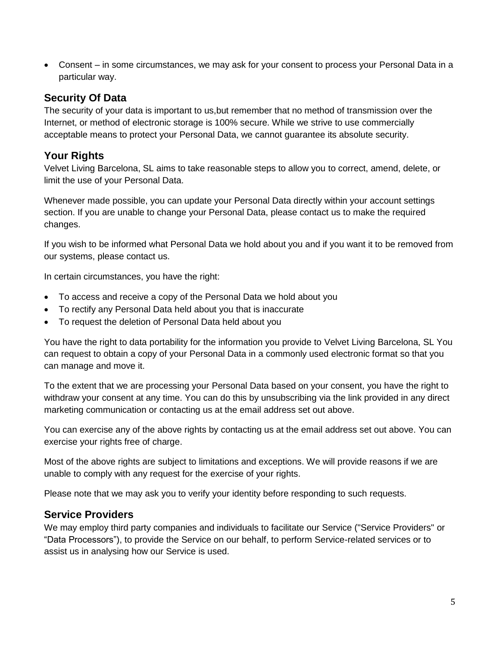• Consent – in some circumstances, we may ask for your consent to process your Personal Data in a particular way.

# **Security Of Data**

The security of your data is important to us,but remember that no method of transmission over the Internet, or method of electronic storage is 100% secure. While we strive to use commercially acceptable means to protect your Personal Data, we cannot guarantee its absolute security.

# **Your Rights**

Velvet Living Barcelona, SL aims to take reasonable steps to allow you to correct, amend, delete, or limit the use of your Personal Data.

Whenever made possible, you can update your Personal Data directly within your account settings section. If you are unable to change your Personal Data, please contact us to make the required changes.

If you wish to be informed what Personal Data we hold about you and if you want it to be removed from our systems, please contact us.

In certain circumstances, you have the right:

- To access and receive a copy of the Personal Data we hold about you
- To rectify any Personal Data held about you that is inaccurate
- To request the deletion of Personal Data held about you

You have the right to data portability for the information you provide to Velvet Living Barcelona, SL You can request to obtain a copy of your Personal Data in a commonly used electronic format so that you can manage and move it.

To the extent that we are processing your Personal Data based on your consent, you have the right to withdraw your consent at any time. You can do this by unsubscribing via the link provided in any direct marketing communication or contacting us at the email address set out above.

You can exercise any of the above rights by contacting us at the email address set out above. You can exercise your rights free of charge.

Most of the above rights are subject to limitations and exceptions. We will provide reasons if we are unable to comply with any request for the exercise of your rights.

Please note that we may ask you to verify your identity before responding to such requests.

# **Service Providers**

We may employ third party companies and individuals to facilitate our Service ("Service Providers" or "Data Processors"), to provide the Service on our behalf, to perform Service-related services or to assist us in analysing how our Service is used.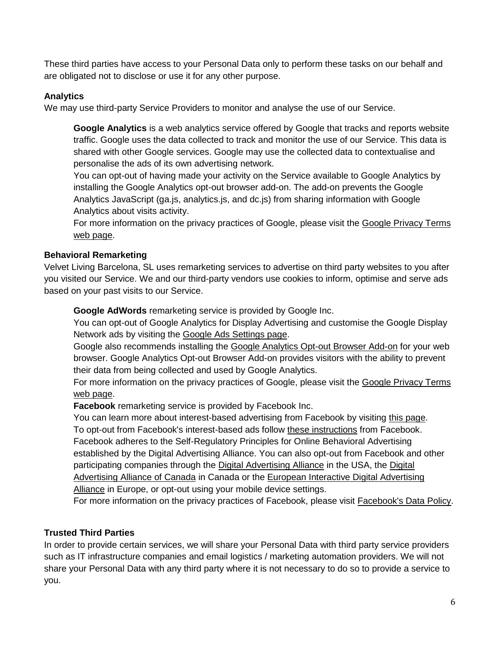These third parties have access to your Personal Data only to perform these tasks on our behalf and are obligated not to disclose or use it for any other purpose.

#### **Analytics**

We may use third-party Service Providers to monitor and analyse the use of our Service.

**Google Analytics** is a web analytics service offered by Google that tracks and reports website traffic. Google uses the data collected to track and monitor the use of our Service. This data is shared with other Google services. Google may use the collected data to contextualise and personalise the ads of its own advertising network.

You can opt-out of having made your activity on the Service available to Google Analytics by installing the Google Analytics opt-out browser add-on. The add-on prevents the Google Analytics JavaScript (ga.js, analytics.js, and dc.js) from sharing information with Google Analytics about visits activity.

For more information on the privacy practices of Google, please visit the Google Privacy Terms [web page.](http://www.google.com/intl/en/policies/privacy/)

### **Behavioral Remarketing**

Velvet Living Barcelona, SL uses remarketing services to advertise on third party websites to you after you visited our Service. We and our third-party vendors use cookies to inform, optimise and serve ads based on your past visits to our Service.

**Google AdWords** remarketing service is provided by Google Inc.

You can opt-out of Google Analytics for Display Advertising and customise the Google Display Network ads by visiting the [Google Ads Settings page.](http://www.google.com/settings/ads)

Google also recommends installing the [Google Analytics Opt-out Browser Add-on](https://tools.google.com/dlpage/gaoptout) for your web browser. Google Analytics Opt-out Browser Add-on provides visitors with the ability to prevent their data from being collected and used by Google Analytics.

For more information on the privacy practices of Google, please visit the [Google Privacy Terms](http://www.google.com/intl/en/policies/privacy/)  [web page.](http://www.google.com/intl/en/policies/privacy/)

**Facebook** remarketing service is provided by Facebook Inc.

You can learn more about interest-based advertising from Facebook by visiting [this page.](https://www.facebook.com/help/164968693837950) To opt-out from Facebook's interest-based ads follow [these instructions](https://www.facebook.com/help/568137493302217) from Facebook. Facebook adheres to the Self-Regulatory Principles for Online Behavioral Advertising established by the Digital Advertising Alliance. You can also opt-out from Facebook and other participating companies through the [Digital Advertising Alliance](http://www.aboutads.info/choices/) in the USA, the [Digital](http://youradchoices.ca/)  [Advertising Alliance of Canada](http://youradchoices.ca/) in Canada or the [European Interactive Digital Advertising](http://www.youronlinechoices.eu/)  [Alliance](http://www.youronlinechoices.eu/) in Europe, or opt-out using your mobile device settings.

For more information on the privacy practices of Facebook, please visit [Facebook's Data Policy.](https://www.facebook.com/privacy/explanation)

# **Trusted Third Parties**

In order to provide certain services, we will share your Personal Data with third party service providers such as IT infrastructure companies and email logistics / marketing automation providers. We will not share your Personal Data with any third party where it is not necessary to do so to provide a service to you.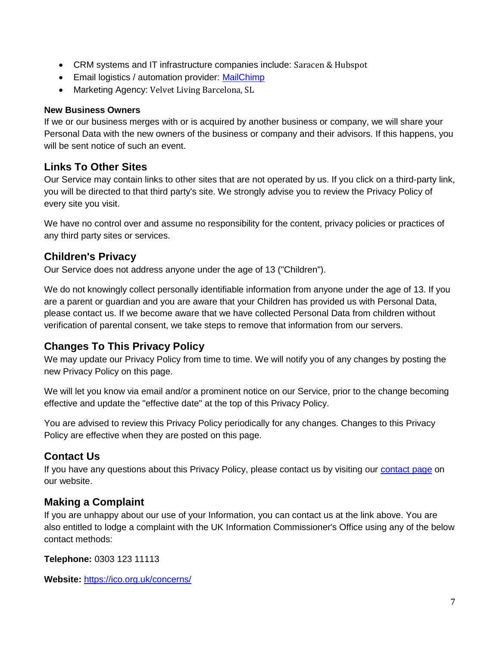- CRM systems and IT infrastructure companies include: Saracen & Hubspot
- Email logistics / automation provider: [MailChimp](https://mailchimp.com/)
- Marketing Agency: Velvet Living Barcelona, SL

#### **New Business Owners**

If we or our business merges with or is acquired by another business or company, we will share your Personal Data with the new owners of the business or company and their advisors. If this happens, you will be sent notice of such an event.

# **Links To Other Sites**

Our Service may contain links to other sites that are not operated by us. If you click on a third-party link, you will be directed to that third party's site. We strongly advise you to review the Privacy Policy of every site you visit.

We have no control over and assume no responsibility for the content, privacy policies or practices of any third party sites or services.

### **Children's Privacy**

Our Service does not address anyone under the age of 13 ("Children").

We do not knowingly collect personally identifiable information from anyone under the age of 13. If you are a parent or guardian and you are aware that your Children has provided us with Personal Data, please contact us. If we become aware that we have collected Personal Data from children without verification of parental consent, we take steps to remove that information from our servers.

# **Changes To This Privacy Policy**

We may update our Privacy Policy from time to time. We will notify you of any changes by posting the new Privacy Policy on this page.

We will let you know via email and/or a prominent notice on our Service, prior to the change becoming effective and update the "effective date" at the top of this Privacy Policy.

You are advised to review this Privacy Policy periodically for any changes. Changes to this Privacy Policy are effective when they are posted on this page.

# **Contact Us**

If you have any questions about this Privacy Policy, please contact us by visiting our [contact page](https://www.velvetlivingbcn.com/barcelona-hire-furniture-contact) on our website.

# **Making a Complaint**

If you are unhappy about our use of your Information, you can contact us at the link above. You are also entitled to lodge a complaint with the UK Information Commissioner's Office using any of the below contact methods:

**Telephone:** 0303 123 11113

**Website:** <https://ico.org.uk/concerns/>